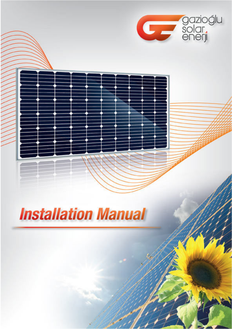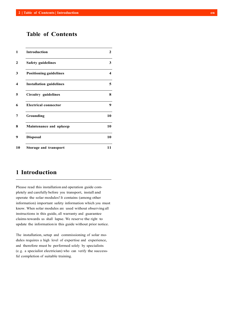# **Table of Contents**

| <b>Introduction</b>            | 2  |
|--------------------------------|----|
| <b>Safety guidelines</b>       | 3  |
| <b>Positioning guidelines</b>  | 4  |
| <b>Installation guidelines</b> | 5  |
| Circuitry guidelines           | 8  |
| <b>Electrical connector</b>    | 9  |
| Grounding                      | 10 |
| Maintenance and upkeep         | 10 |
| <b>Disposal</b>                | 10 |
| Storage and transport          | 11 |

### **1 Introduction**

Please read this installation and operation guide completely and carefully before you transport, install and operate the solar modules! It contains (among other information) important safety information which you must know. When solar modules are used without observing all instructions in this guide, all warranty and guarantee claims towards us shall lapse. We reserve the right to update the information in this guide without prior notice.

The installation, setup and commissioning of solar modules requires a high level of expertise and experience, and therefore must be performed solely by specialists (e. g. a specialist electrician) who can verify the successful completion of suitable training.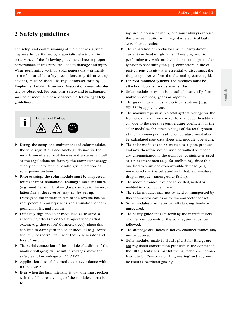## **2 Safety guidelines**

The setup and commissioning of the electrical system may only be performed by a specialist electrician in observance of the following guidelines, since improper performance of this work can lead to damage and injury. When performing work on solar generators – primarily on roofs – suitable safety precautions (e. g. fall arresting devices) must be used. The regulations set forth by Employers' Liability Insurance Associations must absolutely be observed. For your own safety and to safeguard your solar module, please observe the following **safety guidelines:**



- During the setup and maintenance of solar modules, the valid regulations and safety guidelines for the installation of electrical devices and systems, as well as the regulations set forth by the competent energy supply company for the parallel grid operation of solar power systems.
- $\triangleright$  Prior to setup, the solar module must be inspected for mechanical soundness. **Damaged solar modules**  (e. g. modules with broken glass, damage to the insulation film at the reverse) **may not be set up**. Damage to the insulation film at the reverse has severe potential consequences (delamination, endangerment of life and health).
- $\triangleright$  Definitely align the solar module so as to avoid a shadowing effect (even to a temporary or partial extent: e. g. due to roof dormers, trees), since this can lead to damage in the solar modules (e. g. formation of "hot spots"), failure of the PV generator and loss of output.
- $\blacktriangleright$  The serial connection of the modules (addition of the module voltages) may result in voltages above the safety extralow voltage of 120<sup>V</sup> DC!
- Application class of the modules in accordance with IEC 61730: A
- $\triangleright$  Even when the light intensity is low, one must reckon with the full at rest voltage of the modules – that is to

say, in the course of setup, one must always exercise the greatest caution with regard to electrical faults (e. g. short circuits).

- $\blacktriangleright$  The separation of conductors which carry direct current can lead to light arcs. Therefore, prior to performing any work on the solar system – particularly prior to separating the plug connectors in the direct-current circuit – it is essential to disconnect the frequency inverter from the alternating-current grid.
- For roof-mounted systems, the modules must be attached above a fire-resistant surface.
- Solar modules may not be installed near easily-flammable substances, gases or vapours.
- $\blacktriangleright$  The guidelines on fires in electrical systems (e.g. VDI 3819) apply hereto.
- $\blacktriangleright$  The maximum permissible total system voltage for the frequency inverter may never be exceeded. In addition, due to the negative temperature coefficient of the solar modules, the atrest voltage of the total system at the minimum permissible temperature must also be calculated (see data sheet and module type sign).
- $\blacktriangleright$  The solar module is to be treated as a glass product and may therefore not be used or walked on under any circumstances in the transport container or used as a placement area (e. g. for toolboxes), since this can lead to visible or even invisible damage (e. g. micro cracks in the cells and with that, a premature drop in output – among other faults).
- The module frames may not be drilled, nailed or welded to a contact surface.
- $\triangleright$  The solar modules may not be held or transported by their connector cables or by the connector socket.
- Solar modules may never be left standing freely or unsecured.
- $\blacktriangleright$  The safety guidelines set forth by the manufacturers of other components of the solar system must be followed.
- $\triangleright$  The drainage drill holes in hollow chamber frames may not be covered.
- $\triangleright$  Solar modules made by Gazioglu Solar Energy are not regulated construction products in the context of the DIBt (Deutsches Institut für Bautechnik – German Institute for Construction Engineering) and may not be used as overhead glazing.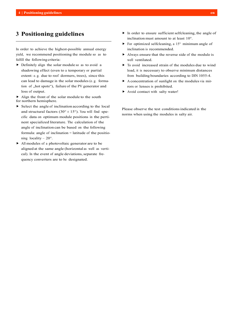# **3 Positioning guidelines**

In order to achieve the highest-possible annual energy yield, we recommend positioning the module so as to fulfill the following criteria:

 Definitely align the solar module so as to avoid a shadowing effect (even to a temporary or partial extent: e. g. due to roof dormers, trees), since this can lead to damage in the solar modules (e. g. formation of "hot spots"), failure of the PV generator and loss of output.

 $\blacktriangleright$  Align the front of the solar module to the south for northern hemisphere.

- $\triangleright$  Select the angle of inclination according to the local and structural factors  $(30^{\circ} \pm 15^{\circ})$ . You will find specific data on optimum module positions in the pertinent specialized literature. The calculation of the angle of inclination can be based on the following formula: angle of inclination = latitude of the positioning locality – 20°.
- All modules of a photovoltaic generator are to be aligned at the same angle (horizontal as well as vertical). In the event of angle deviations, separate frequency converters are to be designated.
- $\blacktriangleright$  In order to ensure sufficient selfcleaning, the angle of inclination must amount to at least 10°.
- For optimized selfcleaning, a  $15^{\circ}$  minimum angle of inclination is recommended.
- Always ensure that the reverse side of the module is well ventilated.
- $\triangleright$  To avoid increased strain of the modules due to wind load, it is necessary to observe minimum distances from building boundaries according to DIN 1055-4.
- $\triangleright$  A concentration of sunlight on the modules via mirrors or lenses is prohibited.
- ▶ Avoid contact with salty water!

Please observe the test conditions indicated in the norms when using the modules in salty air.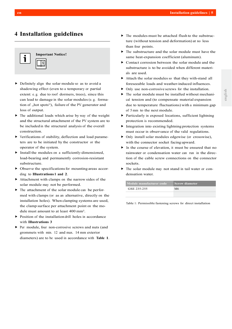# **4 Installation guidelines**

# **Important Notice!** 1

- $\triangleright$  Definitely align the solar module so as to avoid a shadowing effect (even to a temporary or partial extent: e. g. due to roof dormers, trees), since this can lead to damage in the solar modules (e. g. formation of "hot spots"), failure of the PV generator and loss of output.
- $\blacktriangleright$  The additional loads which arise by way of the weight and the structural attachment of the PV system are to be included in the structural analysis of the overall construction.
- Verifications of stability, deflection and load parameters are to be initiated by the constructor or the operator of the system.
- Install the modules on a sufficiently-dimensioned, load-bearing and permanently corrosion-resistant substructure.
- $\triangleright$  Observe the specifications for mounting areas according to **Illustrations 1 and 2**.
- Attachment with clamps on the narrow sides of the solar module may not be performed.
- $\triangleright$  The attachment of the solar module can be performed with clamps (or as an alternative, directly on the installation holes). When clamping systems are used, the clamp surface per attachment point on the module must amount to at least 400 mm².
- $\triangleright$  Position of the installation drill holes in accordance with **Illustrations 3**
- ▶ Per module, four non-corrosive screws and nuts (and grommets with min. 12 and max. 14 mm exterior diameters) are to be used in accordance with **Table 1**.
- $\blacktriangleright$  The modules must be attached flush to the substructure (without tension and deformation) at no less than four points.
- $\triangleright$  The substructure and the solar module must have the same heat-expansion coefficient (aluminum).
- Contact corrosion between the solar module and the substructure is to be avoided when different materials are used.
- Attach the solar modules so that they with-stand all foreseeable loads and weather-induced influences.
- Only use non-corrosive screws for the installation.
- $\blacktriangleright$  The solar module must be installed without mechanical tension and (to compensate material expansion due to temperature fluctuations) with a minimum gap of 5 mm to the next module.
- Particularly in exposed locations, sufficient lightning protection is recommended.
- $\blacktriangleright$  Integration into existing lightning protection systems must occur in observance of the valid regulations.
- Only install solar modules edgewise (or crosswise), with the connector socket facing upward.
- In the course of elevation, it must be ensured that no rainwater or condensation water can run in the direction of the cable screw connections on the connector sockets.
- $\triangleright$  The solar module may not stand in tail water or condensation water.

| Module manufacturer code | <b>Screw diameter</b> |
|--------------------------|-----------------------|
| GSE 235-255              | M6                    |
|                          |                       |

Table 1: Permissible fastening screws for direct installation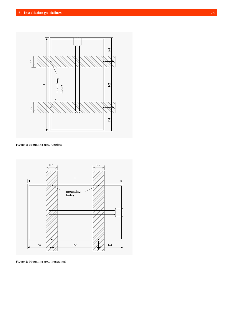

Figure 1: Mounting area, vertical



Figure 2: Mounting area, horizontal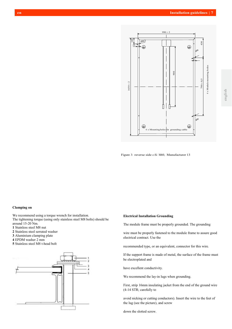

Figure 3: reverse side c-Si M60, Manufacturer 13

#### **Clamping on**

We recommend using a torque wrench for installation. The tightening torque (using only stainless steel M8 bolts) should be around 15-20 Nm.

**1** Stainless steel M8 nut

**2** Stainless steel serrated washer

**3** Aluminium clamping plate

**4** EPDM washer 2 mm

**5** Stainless steel M8 t-head bolt



#### **Electrical Installation Grounding**

The module frame must be properly grounded. The grounding

wire must be properly fastened to the module frame to assure good electrical contract. Use the

recommended type, or an equivalent, connector for this wire.

If the support frame is made of metal, the surface of the frame must be electroplated and

have excellent conductivity.

We recommend the lay-in lugs when grounding.

First, strip 16mm insulating jacket from the end of the ground wire (4-14 STR; carefully to

avoid nicking or cutting conductors). Insert the wire to the feet of the lug (see the picture), and screw

down the slotted screw.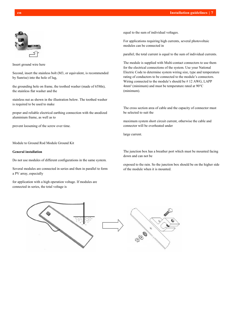

Insert ground wire here

Second, insert the stainless bolt (M3, or equivalent, is recommended by Sunrise) into the hole of lug,

the grounding hole on frame, the toothed washer (made of 65Mn), the stainless flat washer and the

stainless nut as shown in the illustration below. The toothed washer is required to be used to make

proper and reliable electrical earthing connection with the anodized aluminium frame, as well as to

prevent loosening of the screw over time.

Module to Ground Rod Module Ground Kit

#### **General installation**

Do not use modules of different configurations in the same system.

Several modules are connected in series and then in parallel to form a PV array, especially

for application with a high operation voltage. If modules are connected in series, the total voltage is

equal to the sum of individual voltages.

For applications requiring high currents, several photovoltaic modules can be connected in

parallel; the total current is equal to the sum of individual currents.

The module is supplied with Multi-contact connectors to use them for the electrical connections of the system. Use your National Electric Code to determine system wiring size, type and temperature rating of conductors to be connected to the module's connectors. Wiring connected to the module's should be # 12 AWG, LAPP 4mm² (minimum) and must be temperature rated at 90°C (minimum).

The cross section area of cable and the capacity of connector must be selected to suit the

maximum system short circuit current, otherwise the cable and connector will be overheated under

large current.

The junction box has a breather port which must be mounted facing down and can not be

exposed to the rain. So the junction box should be on the higher side of the module when it is mounted.

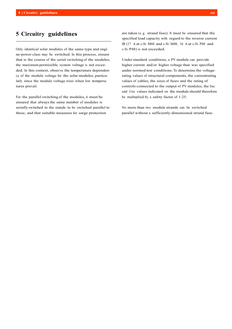# **5 Circuitry guidelines**

Only identical solar modules of the same type and engine-power class may be switched. In this process, ensure that in the course of the serial switching of the modules, the maximum permissible system voltage is not exceeded. In this context, observe the temperature dependency of the module voltage for the solar modules, particularly since the module voltage rises when low temperatures prevail.

For the parallel switching of the modules, it must be ensured that always the same number of modules is serially switched to the stands to be switched parallel to these, and that suitable measures for surge protection

are taken (e. g. strand fuse). It must be ensured that the specified load capacity with regard to the reverse current IR (17 A at c-Si M60 and c-Si M48, 16 A at c-Si P60 and c-Si P48) is not exceeded.

Under standard conditions, a PV module can provide higher current and/or higher voltage than was specified under normed test conditions. To determine the voltagerating values of structural components, the currentrating values of cables, the sizes of fuses and the rating of controls connected to the output of PV modules, the Isc und Uoc values indicated on the module should therefore be multiplied by a safety factor of 1.25.

No more than two module strands can be switched parallel without a sufficiently-dimensioned strand fuse.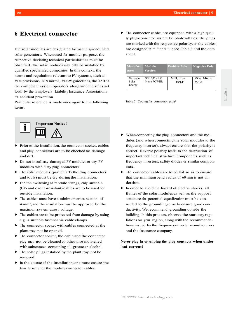# **6 Electrical connector**

The solar modules are designated for use in gridcoupled solar generators. When used for another purpose, the respective deviating technical particularities must be observed. The solar modules may only be installed by qualified specialized companies. In this context, the norms and regulations relevant to PV systems, such as VDE provisions, DIN norms, VDEW guidelines, the TAB of the competent system operators along with the rules set forth by the Employers' Liability Insurance Associations on accident prevention.

Particular reference is made once again to the following items:



- Prior to the installation, the connector socket, cables and plug connectors are to be checked for damage and dirt.
- ▶ Do not install any damaged PV modules or any PV modules with dirty plug connectors.
- $\blacktriangleright$  The solar modules (particularly the plug connectors and tools) must be dry during the installation.
- $\triangleright$  For the switching of module strings, only suitable (UV- and ozone-resistant) cables are to be used for outside installation.
- $\blacktriangleright$  The cables must have a minimum cross-section of 4 mm², and the insulation must be approved for the maximum system atrest voltage.
- $\triangleright$  The cables are to be protected from damage by using e. g. a suitable fastener via cable clamps.
- $\blacktriangleright$  The connector socket with cables connected at the plant may not be opened.
- $\blacktriangleright$  The connector socket, the cable and the connector plug may not be cleaned or otherwise moistened with substances containing oil, grease or alcohol.
- $\blacktriangleright$  The solar plugs installed by the plant may not be removed.
- $\blacktriangleright$  In the course of the installation, one must ensure the tensile relief of the module connector cables.

 $\triangleright$  The connector cables are equipped with a high-quality plug-connector system for photovoltaics. The plugs are marked with the respective polarity, or the cables are designed in "+" and "-"; see Table 2 and the data sheet.

| Manufac-<br>turer | Module<br>Version | <b>Positive Pole</b> | <b>Negative Pole</b> |
|-------------------|-------------------|----------------------|----------------------|
| Gazioglu<br>Solar | GSE 235 - 255     | MC4, Plus            | MC4, Minus           |
| Energy            | Mono POWER        | $PV1-F$              | $PV1-F$              |

Table 2: Coding for connector plug<sup>1</sup>

- $\blacktriangleright$  When connecting the plug connectors and the modules (and when connecting the solar modules to the frequency inverter), always ensure that the polarity is correct. Reverse polarity leads to the destruction of important technical structural components such as frequency inverters, safety diodes or similar components.
- $\triangleright$  The connector cables are to be laid so as to ensure that the minimum bend radius of 60 mm is not undershot.
- In order to avoid the hazard of electric shocks, all frames of the solar modules as well as the support structure for potential equalization must be connected to the grounding so as to ensure good conductivity. We recommend grounding outside the building. In this process, observe the statutory regulations for your region, along with the recommendations issued by the frequency-inverter manufacturers and the insurance company.

**Never plug in or unplug the plug contacts when under load current!**

<sup>1</sup>EU XXXXX: Internal technology code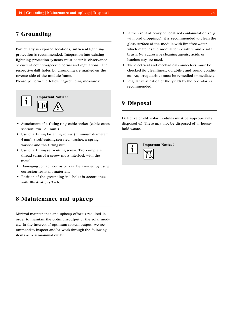# **7 Grounding**

Particularly in exposed locations, sufficient lightning protection is recommended. Integration into existing lightning-protection systems must occur in observance of current country-specific norms and regulations. The respective drill holes for grounding are marked on the reverse side of the module frame.

Please perform the following grounding measures:



- Attachment of a fitting ring-cable socket (cable crosssection: min. 2.1 mm<sup>2</sup>).
- Use of a fitting fastening screw (minimum diameter: 4 mm), a self-cutting serrated washer, a spring washer and the fitting nut.
- $\triangleright$  Use of a fitting self-cutting screw. Two complete thread turns of a screw must interlock with the metal.
- $\triangleright$  Damaging contact corrosion can be avoided by using corrosion-resistant materials.
- $\triangleright$  Position of the grounding drill holes in accordance with **Illustrations 3 – 6.**

# **8 Maintenance and upkeep**

Minimal maintenance and upkeep effort is required in order to maintain the optimum output of the solar module. In the interest of optimum system output, we recommend to inspect and/or work through the following items on a semiannual cycle:

- In the event of heavy or localized contamination (e.g. with bird droppings), it is recommended to clean the glass surface of the module with limefree water which matches the module temperature and a soft brush. No aggressive cleaning agents, acids or leaches may be used.
- $\blacktriangleright$  The electrical and mechanical connectors must be checked for cleanliness, durability and sound condition. Any irregularities must be remedied immediately.
- $\triangleright$  Regular verification of the yields by the operator is recommended.

# **9 Disposal**

Defective or old solar modules must be appropriately disposed of. These may not be disposed of in household waste.